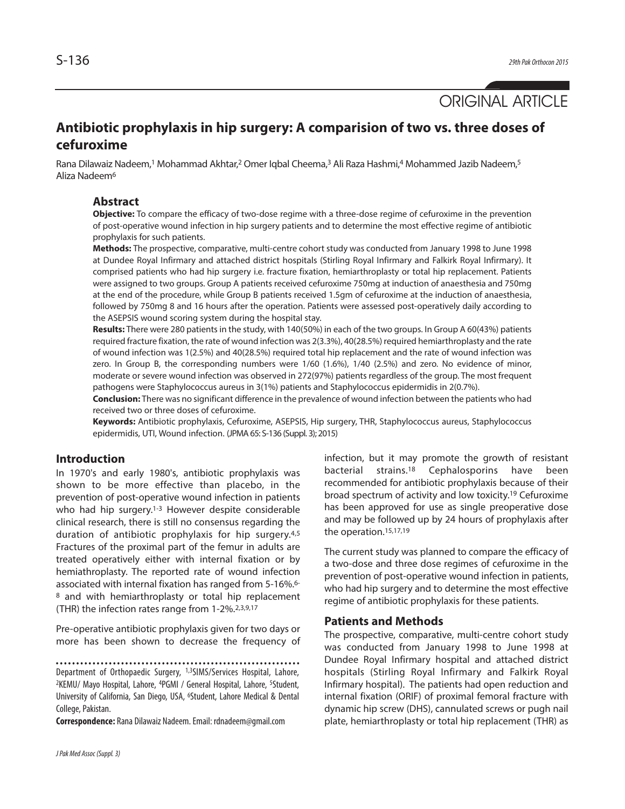

# **Antibiotic prophylaxis in hip surgery: A comparision of two vs. three doses of cefuroxime**

Rana Dilawaiz Nadeem,<sup>1</sup> Mohammad Akhtar,<sup>2</sup> Omer Iqbal Cheema,<sup>3</sup> Ali Raza Hashmi,4 Mohammed Jazib Nadeem,<sup>5</sup> Aliza Nadeem6

# **Abstract**

**Objective:** To compare the efficacy of two-dose regime with a three-dose regime of cefuroxime in the prevention of post-operative wound infection in hip surgery patients and to determine the most effective regime of antibiotic prophylaxis for such patients.

**Methods:** The prospective, comparative, multi-centre cohort study was conducted from January 1998 to June 1998 at Dundee Royal Infirmary and attached district hospitals (Stirling Royal Infirmary and Falkirk Royal Infirmary). It comprised patients who had hip surgery i.e. fracture fixation, hemiarthroplasty or total hip replacement. Patients were assigned to two groups. Group A patients received cefuroxime 750mg at induction of anaesthesia and 750mg at the end of the procedure, while Group B patients received 1.5gm of cefuroxime at the induction of anaesthesia, followed by 750mg 8 and 16 hours after the operation. Patients were assessed post-operatively daily according to the ASEPSIS wound scoring system during the hospital stay.

**Results:** There were 280 patientsin the study, with 140(50%) in each of the two groups. In Group A 60(43%) patients required fracture fixation, the rate of wound infection was 2(3.3%), 40(28.5%) required hemiarthroplasty and the rate of wound infection was 1(2.5%) and 40(28.5%) required total hip replacement and the rate of wound infection was zero. In Group B, the corresponding numbers were 1/60 (1.6%), 1/40 (2.5%) and zero. No evidence of minor, moderate or severe wound infection was observed in 272(97%) patients regardless of the group. The most frequent pathogens were Staphylococcus aureus in 3(1%) patients and Staphylococcus epidermidis in 2(0.7%).

**Conclusion:** There was no significant difference in the prevalence of wound infection between the patients who had received two or three doses of cefuroxime.

**Keywords:** Antibiotic prophylaxis, Cefuroxime, ASEPSIS, Hip surgery, THR, Staphylococcus aureus, Staphylococcus epidermidis, UTI, Wound infection. (JPMA65: S-136 (Suppl. 3); 2015)

# **Introduction**

In 1970's and early 1980's, antibiotic prophylaxis was shown to be more effective than placebo, in the prevention of post-operative wound infection in patients who had hip surgery. 1-3 However despite considerable clinical research, there is still no consensus regarding the duration of antibiotic prophylaxis for hip surgery. 4,5 Fractures of the proximal part of the femur in adults are treated operatively either with internal fixation or by hemiathroplasty. The reported rate of wound infection associated with internal fixation has ranged from 5-16%. 6- <sup>8</sup> and with hemiarthroplasty or total hip replacement (THR) the infection rates range from 1-2%. 2,3,9,17

Pre-operative antibiotic prophylaxis given for two days or more has been shown to decrease the frequency of

Department of Orthopaedic Surgery, 1,3SIMS/Services Hospital, Lahore, 2KEMU/ Mayo Hospital, Lahore, 4PGMI / General Hospital, Lahore, 5Student, University of California, San Diego, USA, 6Student, Lahore Medical & Dental College, Pakistan.

**Correspondence:** Rana Dilawaiz Nadeem.Email: rdnadeem@gmail.com

infection, but it may promote the growth of resistant bacterial strains. <sup>18</sup> Cephalosporins have been recommended for antibiotic prophylaxis because of their broad spectrum of activity and low toxicity. <sup>19</sup> Cefuroxime has been approved for use as single preoperative dose and may be followed up by 24 hours of prophylaxis after the operation. 15,17,19

The current study was planned to compare the efficacy of a two-dose and three dose regimes of cefuroxime in the prevention of post-operative wound infection in patients, who had hip surgery and to determine the most effective regime of antibiotic prophylaxis for these patients.

### **Patients and Methods**

The prospective, comparative, multi-centre cohort study was conducted from January 1998 to June 1998 at Dundee Royal Infirmary hospital and attached district hospitals (Stirling Royal Infirmary and Falkirk Royal Infirmary hospital). The patients had open reduction and internal fixation (ORIF) of proximal femoral fracture with dynamic hip screw (DHS), cannulated screws or pugh nail plate, hemiarthroplasty or total hip replacement (THR) as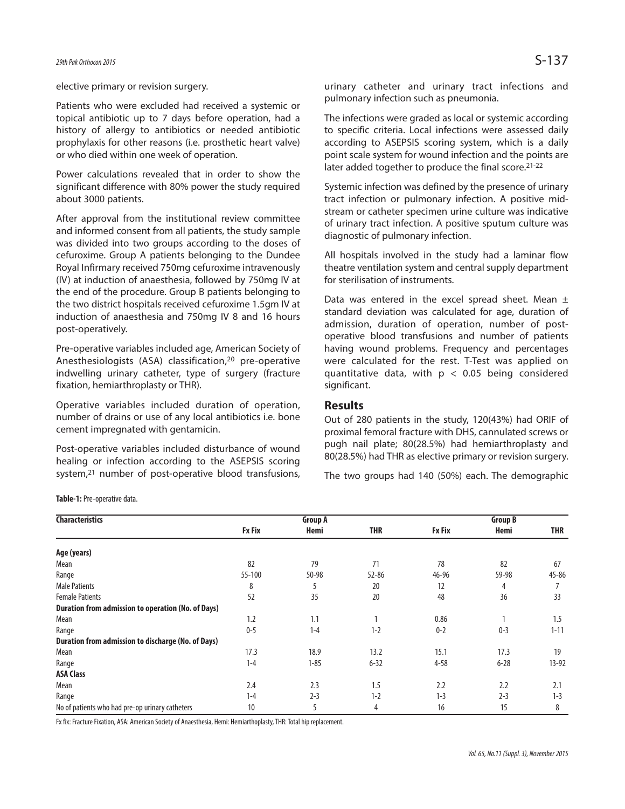#### elective primary or revision surgery.

Patients who were excluded had received a systemic or topical antibiotic up to 7 days before operation, had a history of allergy to antibiotics or needed antibiotic prophylaxis for other reasons (i.e. prosthetic heart valve) or who died within one week of operation.

Power calculations revealed that in order to show the significant difference with 80% power the study required about 3000 patients.

After approval from the institutional review committee and informed consent from all patients, the study sample was divided into two groups according to the doses of cefuroxime. Group A patients belonging to the Dundee Royal Infirmary received 750mg cefuroxime intravenously (IV) at induction of anaesthesia, followed by 750mg IV at the end of the procedure. Group B patients belonging to the two district hospitals received cefuroxime 1.5gm IV at induction of anaesthesia and 750mg IV 8 and 16 hours post-operatively.

Pre-operative variables included age, American Society of Anesthesiologists (ASA) classification, <sup>20</sup> pre-operative indwelling urinary catheter, type of surgery (fracture fixation, hemiarthroplasty or THR).

Operative variables included duration of operation, number of drains or use of any local antibiotics i.e. bone cement impregnated with gentamicin.

Post-operative variables included disturbance of wound healing or infection according to the ASEPSIS scoring system, <sup>21</sup> number of post-operative blood transfusions,

urinary catheter and urinary tract infections and pulmonary infection such as pneumonia.

The infections were graded as local or systemic according to specific criteria. Local infections were assessed daily according to ASEPSIS scoring system, which is a daily point scale system for wound infection and the points are later added together to produce the final score. 21-22

Systemic infection was defined by the presence of urinary tract infection or pulmonary infection. A positive midstream or catheter specimen urine culture was indicative of urinary tract infection. A positive sputum culture was diagnostic of pulmonary infection.

All hospitals involved in the study had a laminar flow theatre ventilation system and central supply department for sterilisation of instruments.

Data was entered in the excel spread sheet. Mean  $\pm$ standard deviation was calculated for age, duration of admission, duration of operation, number of postoperative blood transfusions and number of patients having wound problems. Frequency and percentages were calculated for the rest. T-Test was applied on quantitative data, with  $p < 0.05$  being considered significant.

# **Results**

Out of 280 patients in the study, 120(43%) had ORIF of proximal femoral fracture with DHS, cannulated screws or pugh nail plate; 80(28.5%) had hemiarthroplasty and 80(28.5%) had THR as elective primary or revision surgery.

The two groups had 140 (50%) each. The demographic

Table-1: Pre-operative data.

| <b>Characteristics</b>                             | <b>Group A</b> |          |            | <b>Group B</b> |          |           |  |
|----------------------------------------------------|----------------|----------|------------|----------------|----------|-----------|--|
|                                                    | <b>Fx Fix</b>  | Hemi     | <b>THR</b> | <b>Fx Fix</b>  | Hemi     | THR       |  |
| Age (years)                                        |                |          |            |                |          |           |  |
| Mean                                               | 82             | 79       | 71         | 78             | 82       | 67        |  |
| Range                                              | 55-100         | 50-98    | $52 - 86$  | 46-96          | 59-98    | $45 - 86$ |  |
| <b>Male Patients</b>                               | 8              | 5        | 20         | 12             | 4        |           |  |
| <b>Female Patients</b>                             | 52             | 35       | 20         | 48             | 36       | 33        |  |
| Duration from admission to operation (No. of Days) |                |          |            |                |          |           |  |
| Mean                                               | 1.2            | 1.1      |            | 0.86           |          | 1.5       |  |
| Range                                              | $0 - 5$        | $1 - 4$  | $1 - 2$    | $0 - 2$        | $0 - 3$  | $1 - 11$  |  |
| Duration from admission to discharge (No. of Days) |                |          |            |                |          |           |  |
| Mean                                               | 17.3           | 18.9     | 13.2       | 15.1           | 17.3     | 19        |  |
| Range                                              | $1 - 4$        | $1 - 85$ | $6 - 32$   | $4 - 58$       | $6 - 28$ | $13-92$   |  |
| <b>ASA Class</b>                                   |                |          |            |                |          |           |  |
| Mean                                               | 2.4            | 2.3      | 1.5        | 2.2            | 2.2      | 2.1       |  |
| Range                                              | $1 - 4$        | $2 - 3$  | $1 - 2$    | $1 - 3$        | $2 - 3$  | $1 - 3$   |  |
| No of patients who had pre-op urinary catheters    | 10             | 5        | 4          | 16             | 15       | 8         |  |

Fx fix: Fracture Fixation, ASA: American Society of Anaesthesia, Hemi: Hemiarthoplasty, THR: Total hip replacement.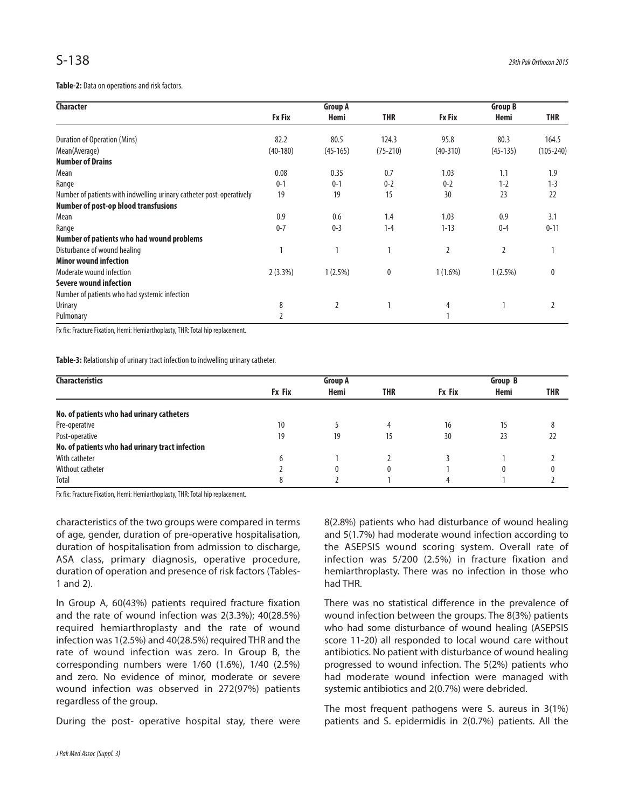Table-2: Data on operations and risk factors.

| <b>Character</b>                                                     | <b>Group A</b> |            |              | <b>Group B</b> |            |               |
|----------------------------------------------------------------------|----------------|------------|--------------|----------------|------------|---------------|
|                                                                      | <b>Fx Fix</b>  | Hemi       | <b>THR</b>   | <b>Fx Fix</b>  | Hemi       | <b>THR</b>    |
| Duration of Operation (Mins)                                         | 82.2           | 80.5       | 124.3        | 95.8           | 80.3       | 164.5         |
| Mean(Average)                                                        | $(40-180)$     | $(45-165)$ | $(75 - 210)$ | $(40-310)$     | $(45-135)$ | $(105 - 240)$ |
| <b>Number of Drains</b>                                              |                |            |              |                |            |               |
| Mean                                                                 | 0.08           | 0.35       | 0.7          | 1.03           | 1.1        | 1.9           |
| Range                                                                | $0 - 1$        | $0 - 1$    | $0 - 2$      | $0 - 2$        | $1 - 2$    | $1 - 3$       |
| Number of patients with indwelling urinary catheter post-operatively | 19             | 19         | 15           | 30             | 23         | 22            |
| <b>Number of post-op blood transfusions</b>                          |                |            |              |                |            |               |
| Mean                                                                 | 0.9            | 0.6        | 1.4          | 1.03           | 0.9        | 3.1           |
| Range                                                                | $0 - 7$        | $0 - 3$    | $1 - 4$      | $1 - 13$       | $0 - 4$    | $0 - 11$      |
| Number of patients who had wound problems                            |                |            |              |                |            |               |
| Disturbance of wound healing                                         |                |            |              | $\overline{2}$ | 2          |               |
| <b>Minor wound infection</b>                                         |                |            |              |                |            |               |
| Moderate wound infection                                             | 2(3.3%)        | $1(2.5\%)$ | $\bf{0}$     | $1(1.6\%)$     | $1(2.5\%)$ | $\mathbf{0}$  |
| Severe wound infection                                               |                |            |              |                |            |               |
| Number of patients who had systemic infection                        |                |            |              |                |            |               |
| Urinary                                                              | 8              | 2          |              | 4              |            | 2             |
| Pulmonary                                                            |                |            |              |                |            |               |

Fx fix: Fracture Fixation, Hemi: Hemiarthoplasty, THR: Total hip replacement.

Table-3: Relationship of urinary tract infection to indwelling urinary catheter.

| <b>Characteristics</b>                          | <b>Group A</b> |      |            | Group B       |      |            |
|-------------------------------------------------|----------------|------|------------|---------------|------|------------|
|                                                 | <b>Fx Fix</b>  | Hemi | <b>THR</b> | <b>Fx Fix</b> | Hemi | <b>THR</b> |
| No. of patients who had urinary catheters       |                |      |            |               |      |            |
| Pre-operative                                   | 10             |      | 4          | 16            | 15   |            |
| Post-operative                                  | 19             | 19   | 15         | 30            | 23   | 22         |
| No. of patients who had urinary tract infection |                |      |            |               |      |            |
| With catheter                                   | b              |      |            |               |      |            |
| Without catheter                                |                | 0    | 0          |               | 0    |            |
| Total                                           |                |      |            |               |      |            |

Fx fix: Fracture Fixation, Hemi: Hemiarthoplasty, THR: Total hip replacement.

characteristics of the two groups were compared in terms of age, gender, duration of pre-operative hospitalisation, duration of hospitalisation from admission to discharge, ASA class, primary diagnosis, operative procedure, duration of operation and presence of risk factors (Tables-1 and 2).

In Group A, 60(43%) patients required fracture fixation and the rate of wound infection was 2(3.3%); 40(28.5%) required hemiarthroplasty and the rate of wound infection was 1(2.5%) and 40(28.5%) required THR and the rate of wound infection was zero. In Group B, the corresponding numbers were 1/60 (1.6%), 1/40 (2.5%) and zero. No evidence of minor, moderate or severe wound infection was observed in 272(97%) patients regardless of the group.

During the post- operative hospital stay, there were

8(2.8%) patients who had disturbance of wound healing and 5(1.7%) had moderate wound infection according to the ASEPSIS wound scoring system. Overall rate of infection was 5/200 (2.5%) in fracture fixation and hemiarthroplasty. There was no infection in those who had THR.

There was no statistical difference in the prevalence of wound infection between the groups. The 8(3%) patients who had some disturbance of wound healing (ASEPSIS score 11-20) all responded to local wound care without antibiotics. No patient with disturbance of wound healing progressed to wound infection. The 5(2%) patients who had moderate wound infection were managed with systemic antibiotics and 2(0.7%) were debrided.

The most frequent pathogens were S. aureus in 3(1%) patients and S. epidermidis in 2(0.7%) patients. All the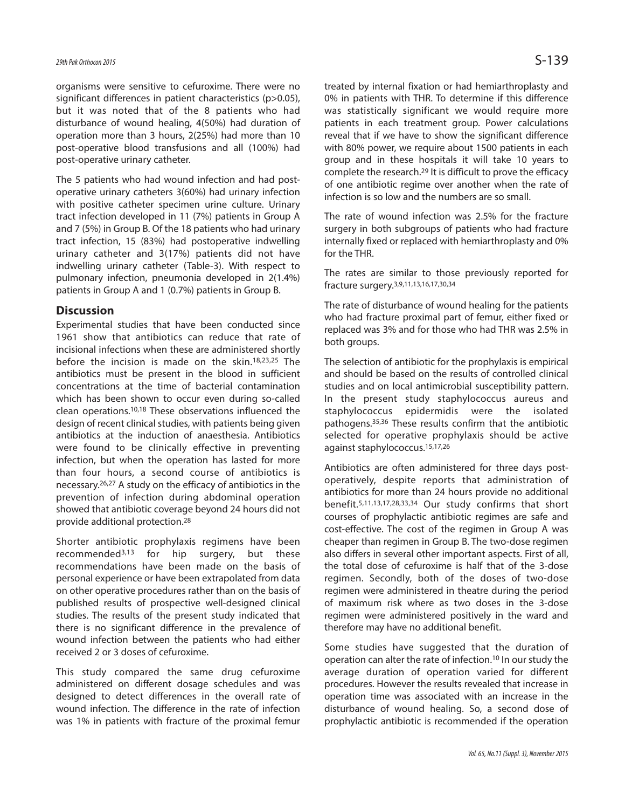organisms were sensitive to cefuroxime. There were no significant differences in patient characteristics (p>0.05), but it was noted that of the 8 patients who had disturbance of wound healing, 4(50%) had duration of operation more than 3 hours, 2(25%) had more than 10 post-operative blood transfusions and all (100%) had post-operative urinary catheter.

The 5 patients who had wound infection and had postoperative urinary catheters 3(60%) had urinary infection with positive catheter specimen urine culture. Urinary tract infection developed in 11 (7%) patients in Group A and 7 (5%) in Group B. Of the 18 patients who had urinary tract infection, 15 (83%) had postoperative indwelling urinary catheter and 3(17%) patients did not have indwelling urinary catheter (Table-3). With respect to pulmonary infection, pneumonia developed in 2(1.4%) patients in Group A and 1 (0.7%) patients in Group B.

# **Discussion**

Experimental studies that have been conducted since 1961 show that antibiotics can reduce that rate of incisional infections when these are administered shortly before the incision is made on the skin. 18,23,25 The antibiotics must be present in the blood in sufficient concentrations at the time of bacterial contamination which has been shown to occur even during so-called clean operations. 10,18 These observations influenced the design of recent clinical studies, with patients being given antibiotics at the induction of anaesthesia. Antibiotics were found to be clinically effective in preventing infection, but when the operation has lasted for more than four hours, a second course of antibiotics is necessary. 26,27 A study on the efficacy of antibiotics in the prevention of infection during abdominal operation showed that antibiotic coverage beyond 24 hours did not provide additional protection. 28

Shorter antibiotic prophylaxis regimens have been recommended3,13 for hip surgery, but these recommendations have been made on the basis of personal experience or have been extrapolated from data on other operative procedures rather than on the basis of published results of prospective well-designed clinical studies. The results of the present study indicated that there is no significant difference in the prevalence of wound infection between the patients who had either received 2 or 3 doses of cefuroxime.

This study compared the same drug cefuroxime administered on different dosage schedules and was designed to detect differences in the overall rate of wound infection. The difference in the rate of infection was 1% in patients with fracture of the proximal femur treated by internal fixation or had hemiarthroplasty and 0% in patients with THR. To determine if this difference was statistically significant we would require more patients in each treatment group. Power calculations reveal that if we have to show the significant difference with 80% power, we require about 1500 patients in each group and in these hospitals it will take 10 years to complete the research. 29 It is difficult to prove the efficacy of one antibiotic regime over another when the rate of infection is so low and the numbers are so small.

The rate of wound infection was 2.5% for the fracture surgery in both subgroups of patients who had fracture internally fixed or replaced with hemiarthroplasty and 0% for the THR.

The rates are similar to those previously reported for fracture surgery. 3,9,11,13,16,17,30,34

The rate of disturbance of wound healing for the patients who had fracture proximal part of femur, either fixed or replaced was 3% and for those who had THR was 2.5% in both groups.

The selection of antibiotic for the prophylaxis is empirical and should be based on the results of controlled clinical studies and on local antimicrobial susceptibility pattern. In the present study staphylococcus aureus and staphylococcus epidermidis were the isolated pathogens. 35,36 These results confirm that the antibiotic selected for operative prophylaxis should be active against staphylococcus. 15,17,26

Antibiotics are often administered for three days postoperatively, despite reports that administration of antibiotics for more than 24 hours provide no additional benefit. 5,11,13,17,28,33,34 Our study confirms that short courses of prophylactic antibiotic regimes are safe and cost-effective. The cost of the regimen in Group A was cheaper than regimen in Group B. The two-dose regimen also differs in several other important aspects. First of all, the total dose of cefuroxime is half that of the 3-dose regimen. Secondly, both of the doses of two-dose regimen were administered in theatre during the period of maximum risk where as two doses in the 3-dose regimen were administered positively in the ward and therefore may have no additional benefit.

Some studies have suggested that the duration of operation can alter the rate of infection. <sup>10</sup> In our study the average duration of operation varied for different procedures. However the results revealed that increase in operation time was associated with an increase in the disturbance of wound healing. So, a second dose of prophylactic antibiotic is recommended if the operation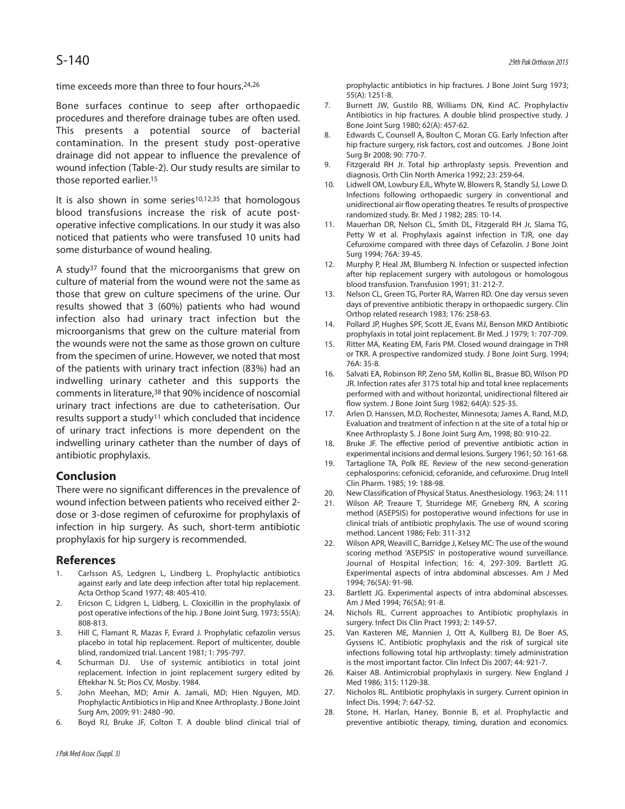time exceeds more than three to four hours. 24,26

Bone surfaces continue to seep after orthopaedic procedures and therefore drainage tubes are often used. This presents a potential source of bacterial contamination. In the present study post-operative drainage did not appear to influence the prevalence of wound infection (Table-2). Our study results are similar to those reported earlier. 15

It is also shown in some series $10,12,35$  that homologous blood transfusions increase the risk of acute postoperative infective complications. In our study it was also noticed that patients who were transfused 10 units had some disturbance of wound healing.

A study37 found that the microorganisms that grew on culture of material from the wound were not the same as those that grew on culture specimens of the urine. Our results showed that 3 (60%) patients who had wound infection also had urinary tract infection but the microorganisms that grew on the culture material from the wounds were not the same as those grown on culture from the specimen of urine. However, we noted that most of the patients with urinary tract infection (83%) had an indwelling urinary catheter and this supports the comments in literature,<sup>38</sup> that 90% incidence of noscomial urinary tract infections are due to catheterisation. Our results support a study11 which concluded that incidence of urinary tract infections is more dependent on the indwelling urinary catheter than the number of days of antibiotic prophylaxis.

# **Conclusion**

There were no significant differences in the prevalence of wound infection between patients who received either 2 dose or 3-dose regimen of cefuroxime for prophylaxis of infection in hip surgery. As such, short-term antibiotic prophylaxis for hip surgery is recommended.

# **References**

- 1. Carlsson AS, Ledgren L, Lindberg L. Prophylactic antibiotics against early and late deep infection after total hip replacement. Acta Orthop Scand 1977; 48: 405-410.
- 2. Ericson C, Lidgren L, Lidberg, L. Cloxicillin in the prophylaxix of post operative infections of the hip. J Bone Joint Surg. 1973; 55(A): 808-813.
- 3. Hill C, Flamant R, Mazas F, Evrard J. Prophylatic cefazolin versus placebo in total hip replacement. Report of multicenter, double blind, randomized trial. Lancent 1981; 1: 795-797.
- 4. Schurman DJ. Use of systemic antibiotics in total joint replacement. Infection in joint replacement surgery edited by Eftekhar N. St; Pios CV, Mosby. 1984.
- 5. John Meehan, MD; Amir A. Jamali, MD; Hien Nguyen, MD. Prophylactic Antibioticsin Hip and Knee Arthroplasty.J Bone Joint Surg Am, 2009; 91: 2480 -90.
- 6. Boyd RJ, Bruke JF, Colton T. A double blind clinical trial of

prophylactic antibiotics in hip fractures. J Bone Joint Surg 1973; 55(A): 1251-8.

- 7. Burnett JW, Gustilo RB, Williams DN, Kind AC. Prophylactiv Antibiotics in hip fractures. A double blind prospective study. J Bone Joint Surg 1980; 62(A): 457-62.
- 8. Edwards C, Counsell A, Boulton C, Moran CG. Early Infection after hip fracture surgery, risk factors, cost and outcomes. J Bone Joint Surg Br 2008; 90: 770-7.
- 9. Fitzgerald RH Jr. Total hip arthroplasty sepsis. Prevention and diagnosis. Orth Clin North America 1992; 23: 259-64.
- 10. Lidwell OM, Lowbury EJL, Whyte W, Blowers R, Standly SJ, Lowe D. Infections following orthopaedic surgery in conventional and unidirectional air flow operating theatres. Te results of prospective randomized study. Br. Med J 1982; 285: 10-14.
- 11. Mauerhan DR, Nelson CL, Smith DL, Fitzgerald RH Jr, Slama TG, Petty W et al. Prophylaxis against infection in TJR, one day Cefuroxime compared with three days of Cefazolin. J Bone Joint Surg 1994; 76A: 39-45.
- 12. Murphy P, Heal JM, Blumberg N. Infection or suspected infection after hip replacement surgery with autologous or homologous blood transfusion. Transfusion 1991; 31: 212-7.
- 13. Nelson CL, Green TG, Porter RA, Warren RD. One day versus seven days of preventive antibiotic therapy in orthopaedic surgery. Clin Orthop related research 1983; 176: 258-63.
- 14. Pollard JP, Hughes SPF, Scott JE, Evans MJ, Benson MKD Antibiotic prophylaxis in total joint replacement. Br Med. J 1979; 1: 707-709.
- 15. Ritter MA, Keating EM, Faris PM. Closed wound draingage in THR or TKR. A prospective randomized study. J Bone Joint Surg. 1994; 76A: 35-8.
- 16. Salvati EA, Robinson RP, Zeno SM, Kollin BL, Brasue BD, Wilson PD JR. Infection rates afer 3175 total hip and total knee replacements performed with and without horizontal, unidirectional filtered air flow system. J Bone Joint Surg 1982; 64(A): 525-35.
- 17. Arlen D. Hanssen, M.D, Rochester, Minnesota; James A. Rand, M.D, Evaluation and treatment of infection n at the site of a total hip or Knee Arthroplasty S. J Bone Joint Surg Am, 1998; 80: 910-22.
- 18. Bruke JF. The effective period of preventive antibiotic action in experimental incisions and dermal lesions. Surgery 1961; 50: 161-68.
- 19. Tartaglione TA, Polk RE. Review of the new second-generation cephalosporins: cefonicid, ceforanide, and cefuroxime. Drug Intell Clin Pharm. 1985; 19: 188-98.
- 20. New Classification of Physical Status. Anesthesiology. 1963; 24: 111
- 21. Wilson AP, Treaure T, Sturridege MF, Grneberg RN, A scoring method (ASEPSIS) for postoperative wound infections for use in clinical trials of antibiotic prophylaxis. The use of wound scoring method. Lancent 1986; Feb: 311-312
- 22. Wilson APR, Weavill C, Barridge J, Kelsey MC: The use of the wound scoring method 'ASEPSIS' in postoperative wound surveillance. Journal of Hospital Infection; 16: 4, 297-309. Bartlett JG. Experimental aspects of intra abdominal abscesses. Am J Med 1994; 76(5A): 91-98.
- 23. Bartlett JG. Experimental aspects of intra abdominal abscesses. Am J Med 1994; 76(5A): 91-8.
- 24. Nichols RL. Current approaches to Antibiotic prophylaxis in surgery. Infect Dis Clin Pract 1993; 2: 149-57.
- 25. Van Kasteren ME, Mannien J, Ott A, Kullberg BJ, De Boer AS, Gyssens IC. Antibiotic prophylaxis and the risk of surgical site infections following total hip arthroplasty: timely administration is the most important factor. Clin Infect Dis 2007; 44: 921-7.
- 26. Kaiser AB. Antimicrobial prophylaxis in surgery. New England J Med 1986; 315: 1129-38.
- 27. Nicholos RL. Antibiotic prophylaxis in surgery. Current opinion in Infect Dis. 1994; 7: 647-52.
- 28. Stone, H. Harlan, Haney, Bonnie B, et al. Prophylactic and preventive antibiotic therapy, timing, duration and economics.